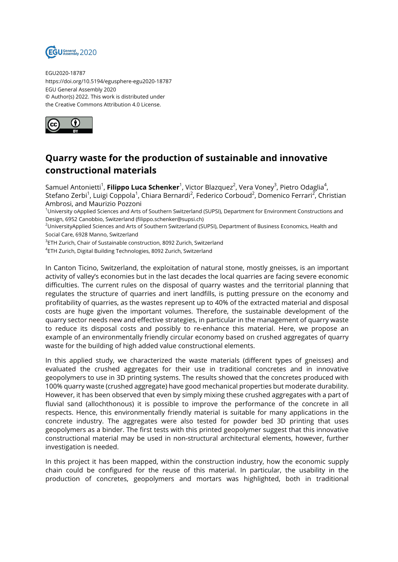

EGU2020-18787 https://doi.org/10.5194/egusphere-egu2020-18787 EGU General Assembly 2020 © Author(s) 2022. This work is distributed under the Creative Commons Attribution 4.0 License.



## **Quarry waste for the production of sustainable and innovative constructional materials**

Samuel Antonietti<sup>1</sup>, **Filippo Luca Schenker**<sup>1</sup>, Victor Blazquez<sup>2</sup>, Vera Voney<sup>3</sup>, Pietro Odaglia<sup>4</sup>, Stefano Zerbi<sup>1</sup>, Luigi Coppola<sup>1</sup>, Chiara Bernardi<sup>2</sup>, Federico Corboud<sup>2</sup>, Domenico Ferrari<sup>2</sup>, Christian Ambrosi, and Maurizio Pozzoni

<sup>1</sup>University oApplied Sciences and Arts of Southern Switzerland (SUPSI), Department for Environment Constructions and Design, 6952 Canobbio, Switzerland (filippo.schenker@supsi.ch)

<sup>2</sup>UniversityApplied Sciences and Arts of Southern Switzerland (SUPSI), Department of Business Economics, Health and Social Care, 6928 Manno, Switzerland

 $^3$ ETH Zurich, Chair of Sustainable construction, 8092 Zurich, Switzerland

4 ETH Zurich, Digital Building Technologies, 8092 Zurich, Switzerland

In Canton Ticino, Switzerland, the exploitation of natural stone, mostly gneisses, is an important activity of valley's economies but in the last decades the local quarries are facing severe economic difficulties. The current rules on the disposal of quarry wastes and the territorial planning that regulates the structure of quarries and inert landfills, is putting pressure on the economy and profitability of quarries, as the wastes represent up to 40% of the extracted material and disposal costs are huge given the important volumes. Therefore, the sustainable development of the quarry sector needs new and effective strategies, in particular in the management of quarry waste to reduce its disposal costs and possibly to re-enhance this material. Here, we propose an example of an environmentally friendly circular economy based on crushed aggregates of quarry waste for the building of high added value constructional elements.

In this applied study, we characterized the waste materials (different types of gneisses) and evaluated the crushed aggregates for their use in traditional concretes and in innovative geopolymers to use in 3D printing systems. The results showed that the concretes produced with 100% quarry waste (crushed aggregate) have good mechanical properties but moderate durability. However, it has been observed that even by simply mixing these crushed aggregates with a part of fluvial sand (allochthonous) it is possible to improve the performance of the concrete in all respects. Hence, this environmentally friendly material is suitable for many applications in the concrete industry. The aggregates were also tested for powder bed 3D printing that uses geopolymers as a binder. The first tests with this printed geopolymer suggest that this innovative constructional material may be used in non-structural architectural elements, however, further investigation is needed.

In this project it has been mapped, within the construction industry, how the economic supply chain could be configured for the reuse of this material. In particular, the usability in the production of concretes, geopolymers and mortars was highlighted, both in traditional